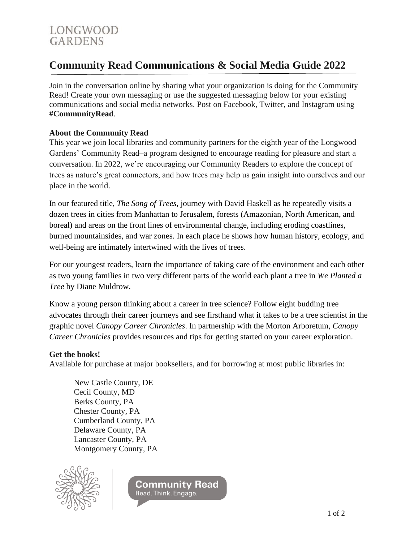# **Community Read Communications & Social Media Guide 2022**

Join in the conversation online by sharing what your organization is doing for the Community Read! Create your own messaging or use the suggested messaging below for your existing communications and social media networks. Post on Facebook, Twitter, and Instagram using **#CommunityRead**.

#### **About the Community Read**

This year we join local libraries and community partners for the eighth year of the Longwood Gardens' Community Read–a program designed to encourage reading for pleasure and start a conversation. In 2022, we're encouraging our Community Readers to explore the concept of trees as nature's great connectors, and how trees may help us gain insight into ourselves and our place in the world.

In our featured title, *The Song of Trees*, journey with David Haskell as he repeatedly visits a dozen trees in cities from Manhattan to Jerusalem, forests (Amazonian, North American, and boreal) and areas on the front lines of environmental change, including eroding coastlines, burned mountainsides, and war zones. In each place he shows how human history, ecology, and well-being are intimately intertwined with the lives of trees.

For our youngest readers, learn the importance of taking care of the environment and each other as two young families in two very different parts of the world each plant a tree in *We Planted a Tree* by Diane Muldrow.

Know a young person thinking about a career in tree science? Follow eight budding tree advocates through their career journeys and see firsthand what it takes to be a tree scientist in the graphic novel *Canopy Career Chronicles*. In partnership with the Morton Arboretum, *Canopy Career Chronicles* provides resources and tips for getting started on your career exploration.

#### **Get the books!**

Available for purchase at major booksellers, and for borrowing at most public libraries in:

New Castle County, DE Cecil County, MD Berks County, PA Chester County, PA Cumberland County, PA Delaware County, PA Lancaster County, PA Montgomery County, PA